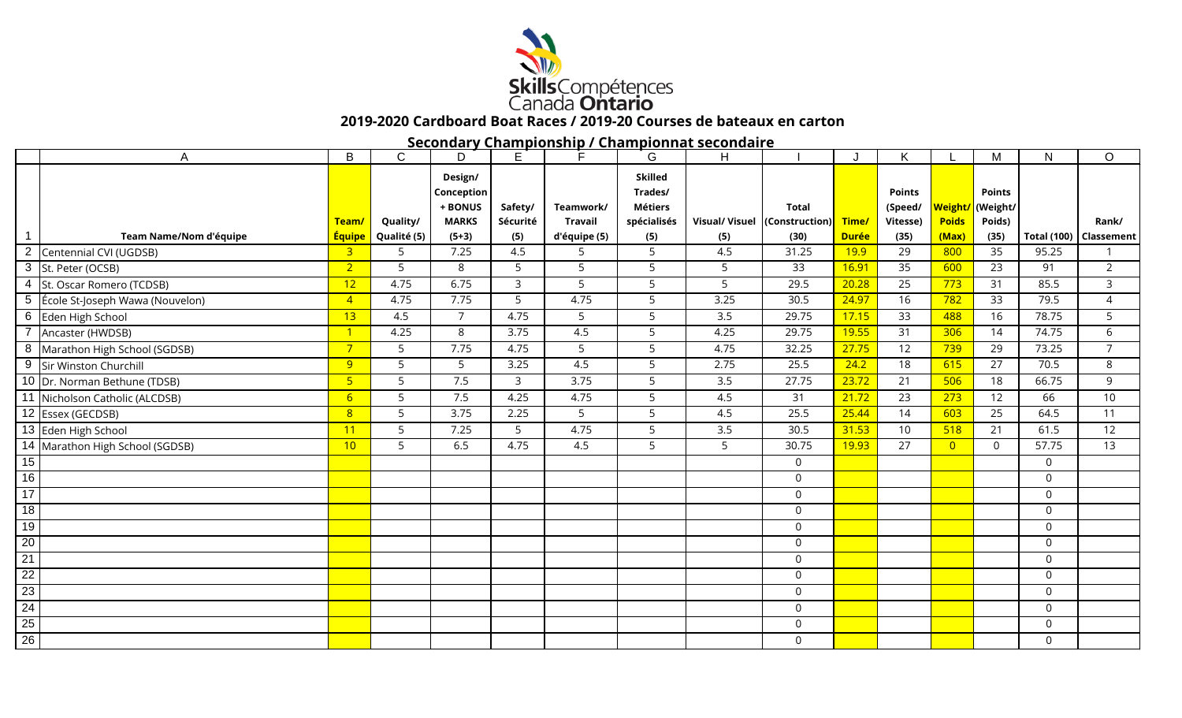

## **2019-2020 Cardboard Boat Races / 2019-20 Courses de bateaux en carton**

**Secondary Championship / Championnat secondaire**

|                 | A                                 | B               | $\mathsf{C}$ | D                                                | E.                  | Е                           | G                                                          | Η                |                                               |              | Κ                                    |                         | M                                   | $\mathsf{N}$       | $\circ$           |
|-----------------|-----------------------------------|-----------------|--------------|--------------------------------------------------|---------------------|-----------------------------|------------------------------------------------------------|------------------|-----------------------------------------------|--------------|--------------------------------------|-------------------------|-------------------------------------|--------------------|-------------------|
|                 |                                   | Team/           | Quality/     | Design/<br>Conception<br>+ BONUS<br><b>MARKS</b> | Safety/<br>Sécurité | Teamwork/<br><b>Travail</b> | <b>Skilled</b><br>Trades/<br><b>Métiers</b><br>spécialisés |                  | <b>Total</b><br>Visual/ Visuel (Construction) | Time/        | <b>Points</b><br>(Speed/<br>Vitesse) | Weight.<br><b>Poids</b> | <b>Points</b><br>(Weight/<br>Poids) |                    | Rank/             |
|                 | Team Name/Nom d'équipe            | <b>Équipe</b>   | Qualité (5)  | $(5+3)$                                          | (5)                 | d'équipe (5)                | (5)                                                        | (5)              | (30)                                          | <b>Durée</b> | (35)                                 | (Max)                   | (35)                                | <b>Total (100)</b> | <b>Classement</b> |
| 2               | Centennial CVI (UGDSB)            | $\overline{3}$  | 5            | 7.25                                             | 4.5                 | 5                           | 5                                                          | 4.5              | 31.25                                         | <b>19.9</b>  | 29                                   | 800                     | 35                                  | 95.25              |                   |
|                 | 3 St. Peter (OCSB)                | 2 <sup>1</sup>  | 5            | 8                                                | 5                   | 5                           | 5                                                          | 5                | 33                                            | 16.91        | 35                                   | 600                     | 23                                  | 91                 | $\overline{2}$    |
| 4               | St. Oscar Romero (TCDSB)          | 12              | 4.75         | 6.75                                             | 3                   | 5                           | 5                                                          | 5                | 29.5                                          | 20.28        | 25                                   | 773                     | 31                                  | 85.5               | 3                 |
|                 | 5 Ecole St-Joseph Wawa (Nouvelon) | $\overline{4}$  | 4.75         | 7.75                                             | 5                   | 4.75                        | 5                                                          | 3.25             | $\overline{30.5}$                             | 24.97        | 16                                   | 782                     | 33                                  | 79.5               | 4                 |
| 6               | Eden High School                  | 13              | 4.5          | $\overline{7}$                                   | 4.75                | 5                           | 5                                                          | 3.5              | 29.75                                         | 17.15        | 33                                   | 488                     | 16                                  | 78.75              | 5                 |
| $\overline{7}$  | Ancaster (HWDSB)                  | $\overline{1}$  | 4.25         | 8                                                | 3.75                | 4.5                         | 5                                                          | 4.25             | 29.75                                         | 19.55        | 31                                   | 306                     | 14                                  | 74.75              | 6                 |
| 8               | Marathon High School (SGDSB)      | 7 <sup>7</sup>  | 5            | 7.75                                             | 4.75                | 5                           | 5                                                          | 4.75             | 32.25                                         | 27.75        | 12                                   | 739                     | 29                                  | 73.25              | $\overline{7}$    |
|                 | 9 Sir Winston Churchill           | 9               | 5            | 5                                                | 3.25                | 4.5                         | 5                                                          | 2.75             | 25.5                                          | 24.2         | 18                                   | 615                     | 27                                  | 70.5               | 8                 |
|                 | 10 Dr. Norman Bethune (TDSB)      | 5 <sub>o</sub>  | 5            | 7.5                                              | $\mathbf{3}$        | 3.75                        | $\overline{5}$                                             | $\overline{3.5}$ | 27.75                                         | 23.72        | 21                                   | 506                     | 18                                  | 66.75              | 9                 |
|                 | 11 Nicholson Catholic (ALCDSB)    | $6\overline{6}$ | 5            | 7.5                                              | 4.25                | 4.75                        | 5                                                          | 4.5              | 31                                            | 21.72        | 23                                   | 273                     | 12                                  | 66                 | 10                |
|                 | 12 Essex (GECDSB)                 | 8               | 5            | 3.75                                             | 2.25                | 5                           | 5                                                          | 4.5              | 25.5                                          | 25.44        | 14                                   | 603                     | 25                                  | 64.5               | 11                |
|                 | 13 Eden High School               | 11              | 5            | 7.25                                             | 5                   | 4.75                        | 5                                                          | 3.5              | 30.5                                          | 31.53        | 10                                   | 518                     | 21                                  | 61.5               | 12                |
|                 | 14 Marathon High School (SGDSB)   | 10              | 5            | 6.5                                              | 4.75                | 4.5                         | 5                                                          | 5                | 30.75                                         | 19.93        | 27                                   | $\overline{0}$          | $\Omega$                            | 57.75              | 13                |
| 15              |                                   |                 |              |                                                  |                     |                             |                                                            |                  | $\overline{0}$                                |              |                                      |                         |                                     | $\Omega$           |                   |
| $\overline{16}$ |                                   |                 |              |                                                  |                     |                             |                                                            |                  | 0                                             |              |                                      |                         |                                     | $\Omega$           |                   |
| 17              |                                   |                 |              |                                                  |                     |                             |                                                            |                  | $\mathbf 0$                                   |              |                                      |                         |                                     | $\Omega$           |                   |
| 18              |                                   |                 |              |                                                  |                     |                             |                                                            |                  | $\mathbf 0$                                   |              |                                      |                         |                                     | 0                  |                   |
| 19              |                                   |                 |              |                                                  |                     |                             |                                                            |                  | $\mathsf{O}\xspace$                           |              |                                      |                         |                                     | $\mathbf 0$        |                   |
| 20              |                                   |                 |              |                                                  |                     |                             |                                                            |                  | $\mathsf{O}\xspace$                           |              |                                      |                         |                                     | $\mathbf 0$        |                   |
| $\overline{21}$ |                                   |                 |              |                                                  |                     |                             |                                                            |                  | 0                                             |              |                                      |                         |                                     | $\Omega$           |                   |
| $\overline{22}$ |                                   |                 |              |                                                  |                     |                             |                                                            |                  | $\mathbf 0$                                   |              |                                      |                         |                                     | $\mathbf 0$        |                   |
| 23              |                                   |                 |              |                                                  |                     |                             |                                                            |                  | 0                                             |              |                                      |                         |                                     | $\Omega$           |                   |
| 24              |                                   |                 |              |                                                  |                     |                             |                                                            |                  | $\mathsf{O}\xspace$                           |              |                                      |                         |                                     | $\Omega$           |                   |
| $\overline{25}$ |                                   |                 |              |                                                  |                     |                             |                                                            |                  | $\mathbf 0$                                   |              |                                      |                         |                                     | $\mathbf 0$        |                   |
| $\overline{26}$ |                                   |                 |              |                                                  |                     |                             |                                                            |                  | 0                                             |              |                                      |                         |                                     | 0                  |                   |